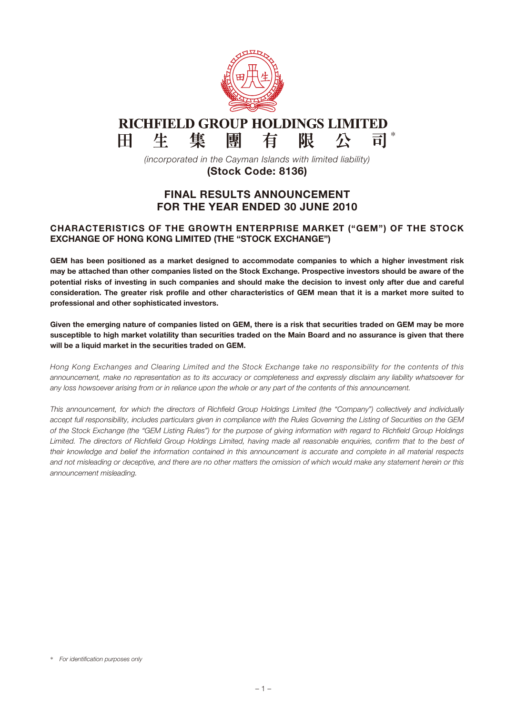

#### **RICHFIELD GROUP HOLDINGS LIMITED** 生 \* 集 團 有 限  $H$ 尽

*(incorporated in the Cayman Islands with limited liability)* (Stock Code: 8136)

# FINAL RESULTS ANNOUNCEMENT FOR THE YEAR ENDED 30 JUNE 2010

# CHARACTERISTICS OF THE GROWTH ENTERPRISE MARKET ("GEM") OF THE STOCK EXCHANGE OF HONG KONG LIMITED (THE "STOCK EXCHANGE")

GEM has been positioned as a market designed to accommodate companies to which a higher investment risk may be attached than other companies listed on the Stock Exchange. Prospective investors should be aware of the potential risks of investing in such companies and should make the decision to invest only after due and careful consideration. The greater risk profile and other characteristics of GEM mean that it is a market more suited to professional and other sophisticated investors.

Given the emerging nature of companies listed on GEM, there is a risk that securities traded on GEM may be more susceptible to high market volatility than securities traded on the Main Board and no assurance is given that there will be a liquid market in the securities traded on GEM.

*Hong Kong Exchanges and Clearing Limited and the Stock Exchange take no responsibility for the contents of this announcement, make no representation as to its accuracy or completeness and expressly disclaim any liability whatsoever for any loss howsoever arising from or in reliance upon the whole or any part of the contents of this announcement.*

*This announcement, for which the directors of Richfield Group Holdings Limited (the "Company") collectively and individually accept full responsibility, includes particulars given in compliance with the Rules Governing the Listing of Securities on the GEM of the Stock Exchange (the "GEM Listing Rules") for the purpose of giving information with regard to Richfield Group Holdings Limited. The directors of Richfield Group Holdings Limited, having made all reasonable enquiries, confirm that to the best of their knowledge and belief the information contained in this announcement is accurate and complete in all material respects and not misleading or deceptive, and there are no other matters the omission of which would make any statement herein or this announcement misleading.*

<sup>\*</sup> *For identification purposes only*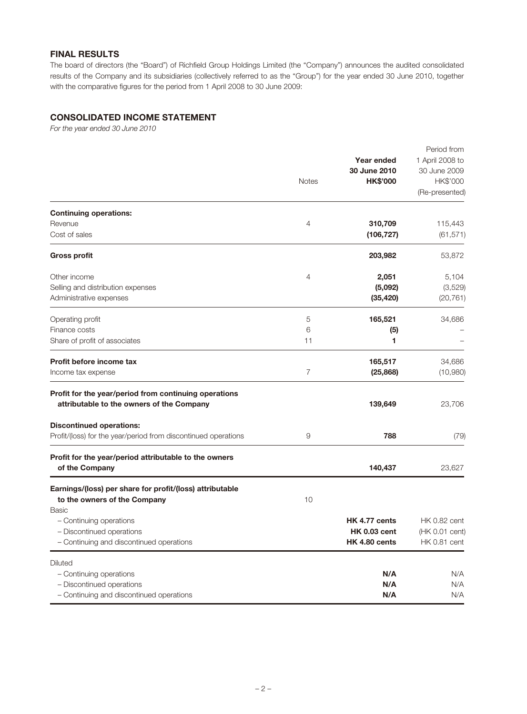# Final Results

The board of directors (the "Board") of Richfield Group Holdings Limited (the "Company") announces the audited consolidated results of the Company and its subsidiaries (collectively referred to as the "Group") for the year ended 30 June 2010, together with the comparative figures for the period from 1 April 2008 to 30 June 2009:

# Consolidated income statement

*For the year ended 30 June 2010*

|                                                                                                    | <b>Notes</b>   | Year ended<br>30 June 2010<br><b>HK\$'000</b> | Period from<br>1 April 2008 to<br>30 June 2009<br>HK\$'000<br>(Re-presented) |
|----------------------------------------------------------------------------------------------------|----------------|-----------------------------------------------|------------------------------------------------------------------------------|
| <b>Continuing operations:</b>                                                                      |                |                                               |                                                                              |
| Revenue<br>Cost of sales                                                                           | $\overline{4}$ | 310,709<br>(106, 727)                         | 115,443<br>(61, 571)                                                         |
| <b>Gross profit</b>                                                                                |                | 203,982                                       | 53,872                                                                       |
| Other income                                                                                       | $\overline{4}$ | 2,051                                         | 5,104                                                                        |
| Selling and distribution expenses<br>Administrative expenses                                       |                | (5,092)<br>(35, 420)                          | (3,529)<br>(20, 761)                                                         |
| Operating profit                                                                                   | 5              | 165,521                                       | 34,686                                                                       |
| Finance costs                                                                                      | 6              | (5)                                           |                                                                              |
| Share of profit of associates                                                                      | 11             | 1                                             |                                                                              |
| Profit before income tax                                                                           |                | 165,517                                       | 34,686                                                                       |
| Income tax expense                                                                                 | $\overline{7}$ | (25, 868)                                     | (10,980)                                                                     |
| Profit for the year/period from continuing operations<br>attributable to the owners of the Company |                | 139,649                                       | 23,706                                                                       |
| <b>Discontinued operations:</b><br>Profit/(loss) for the year/period from discontinued operations  | 9              | 788                                           | (79)                                                                         |
| Profit for the year/period attributable to the owners<br>of the Company                            |                | 140,437                                       | 23,627                                                                       |
| Earnings/(loss) per share for profit/(loss) attributable<br>to the owners of the Company           | 10             |                                               |                                                                              |
| Basic                                                                                              |                |                                               |                                                                              |
| - Continuing operations                                                                            |                | HK 4.77 cents                                 | <b>HK 0.82 cent</b>                                                          |
| - Discontinued operations<br>- Continuing and discontinued operations                              |                | <b>HK 0.03 cent</b><br>HK 4.80 cents          | (HK 0.01 cent)<br><b>HK 0.81 cent</b>                                        |
| Diluted                                                                                            |                |                                               |                                                                              |
| - Continuing operations                                                                            |                | N/A                                           | N/A                                                                          |
| - Discontinued operations                                                                          |                | N/A                                           | N/A                                                                          |
| - Continuing and discontinued operations                                                           |                | N/A                                           | N/A                                                                          |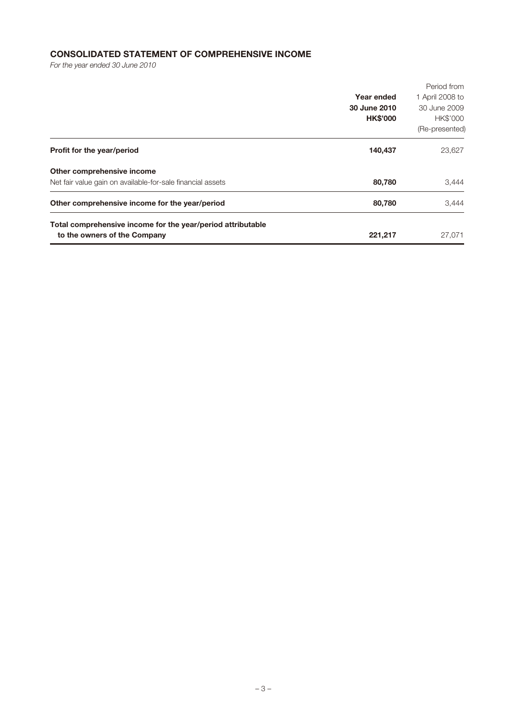# Consolidated statement of comprehensive income

*For the year ended 30 June 2010*

| Total comprehensive income for the year/period attributable<br>to the owners of the Company | 221,217                                       | 27,071                                                                       |
|---------------------------------------------------------------------------------------------|-----------------------------------------------|------------------------------------------------------------------------------|
| Other comprehensive income for the year/period                                              | 80,780                                        | 3,444                                                                        |
| Other comprehensive income<br>Net fair value gain on available-for-sale financial assets    | 80,780                                        | 3,444                                                                        |
| Profit for the year/period                                                                  | 140,437                                       | 23,627                                                                       |
|                                                                                             | Year ended<br>30 June 2010<br><b>HK\$'000</b> | Period from<br>1 April 2008 to<br>30 June 2009<br>HK\$'000<br>(Re-presented) |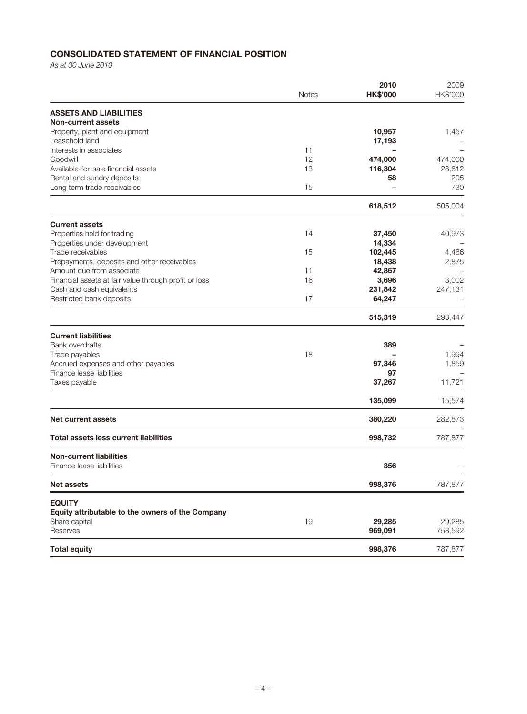# Consolidated statement of financial position

*As at 30 June 2010*

|                                                       | <b>Notes</b> | 2010<br><b>HK\$'000</b> | 2009<br>HK\$'000 |
|-------------------------------------------------------|--------------|-------------------------|------------------|
| <b>ASSETS AND LIABILITIES</b>                         |              |                         |                  |
| <b>Non-current assets</b>                             |              |                         |                  |
| Property, plant and equipment<br>Leasehold land       |              | 10,957<br>17,193        | 1,457            |
| Interests in associates                               | 11           |                         |                  |
| Goodwill                                              | 12           | 474,000                 | 474,000          |
| Available-for-sale financial assets                   | 13           | 116,304                 | 28,612           |
| Rental and sundry deposits                            |              | 58                      | 205              |
| Long term trade receivables                           | 15           |                         | 730              |
|                                                       |              | 618,512                 | 505,004          |
| <b>Current assets</b>                                 |              |                         |                  |
| Properties held for trading                           | 14           | 37,450                  | 40,973           |
| Properties under development                          |              | 14,334                  |                  |
| Trade receivables                                     | 15           | 102,445                 | 4,466            |
| Prepayments, deposits and other receivables           |              | 18,438                  | 2,875            |
| Amount due from associate                             | 11           | 42,867                  |                  |
| Financial assets at fair value through profit or loss | 16           | 3,696                   | 3,002            |
| Cash and cash equivalents                             |              | 231,842                 | 247,131          |
| Restricted bank deposits                              | 17           | 64,247                  |                  |
|                                                       |              | 515,319                 | 298,447          |
| <b>Current liabilities</b>                            |              |                         |                  |
| <b>Bank overdrafts</b>                                |              | 389                     |                  |
| Trade payables                                        | 18           |                         | 1,994            |
| Accrued expenses and other payables                   |              | 97,346                  | 1,859            |
| Finance lease liabilities                             |              | 97                      |                  |
| Taxes payable                                         |              | 37,267                  | 11,721           |
|                                                       |              | 135,099                 | 15,574           |
| <b>Net current assets</b>                             |              | 380,220                 | 282,873          |
| <b>Total assets less current liabilities</b>          |              | 998,732                 | 787,877          |
| <b>Non-current liabilities</b>                        |              |                         |                  |
| Finance lease liabilities                             |              | 356                     |                  |
| <b>Net assets</b>                                     |              | 998,376                 | 787,877          |
| <b>EQUITY</b>                                         |              |                         |                  |
| Equity attributable to the owners of the Company      |              |                         |                  |
| Share capital                                         | 19           | 29,285                  | 29,285           |
| Reserves                                              |              | 969,091                 | 758,592          |
| <b>Total equity</b>                                   |              | 998,376                 | 787,877          |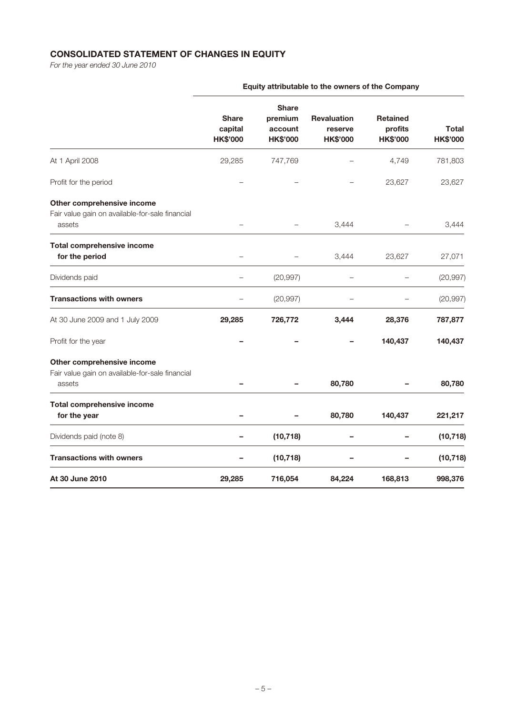# Consolidated statement of changes in equity

*For the year ended 30 June 2010*

|                                                                                         | <b>Equity attributable to the owners of the Company</b> |                                                       |                                                  |                                               |                                 |
|-----------------------------------------------------------------------------------------|---------------------------------------------------------|-------------------------------------------------------|--------------------------------------------------|-----------------------------------------------|---------------------------------|
|                                                                                         | <b>Share</b><br>capital<br><b>HK\$'000</b>              | <b>Share</b><br>premium<br>account<br><b>HK\$'000</b> | <b>Revaluation</b><br>reserve<br><b>HK\$'000</b> | <b>Retained</b><br>profits<br><b>HK\$'000</b> | <b>Total</b><br><b>HK\$'000</b> |
| At 1 April 2008                                                                         | 29,285                                                  | 747,769                                               |                                                  | 4,749                                         | 781,803                         |
| Profit for the period                                                                   |                                                         |                                                       |                                                  | 23,627                                        | 23,627                          |
| Other comprehensive income<br>Fair value gain on available-for-sale financial<br>assets |                                                         |                                                       | 3,444                                            |                                               | 3,444                           |
| Total comprehensive income<br>for the period                                            |                                                         |                                                       | 3,444                                            | 23,627                                        | 27,071                          |
| Dividends paid                                                                          |                                                         | (20, 997)                                             |                                                  |                                               | (20, 997)                       |
| <b>Transactions with owners</b>                                                         |                                                         | (20, 997)                                             |                                                  |                                               | (20, 997)                       |
| At 30 June 2009 and 1 July 2009                                                         | 29,285                                                  | 726,772                                               | 3,444                                            | 28,376                                        | 787,877                         |
| Profit for the year                                                                     |                                                         |                                                       |                                                  | 140,437                                       | 140,437                         |
| Other comprehensive income<br>Fair value gain on available-for-sale financial<br>assets |                                                         |                                                       | 80,780                                           |                                               | 80,780                          |
| Total comprehensive income<br>for the year                                              |                                                         |                                                       | 80,780                                           | 140,437                                       | 221,217                         |
| Dividends paid (note 8)                                                                 |                                                         | (10, 718)                                             |                                                  |                                               | (10, 718)                       |
| <b>Transactions with owners</b>                                                         |                                                         | (10, 718)                                             |                                                  |                                               | (10, 718)                       |
| At 30 June 2010                                                                         | 29,285                                                  | 716,054                                               | 84,224                                           | 168,813                                       | 998,376                         |

# Equity attributable to the owners of the Company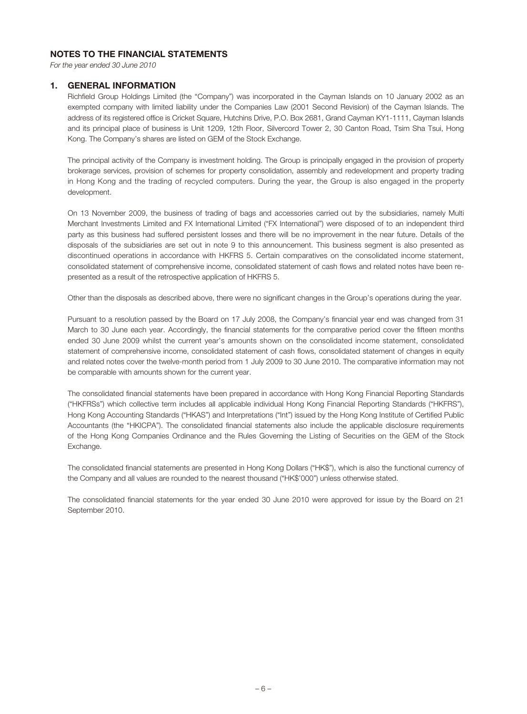### Notes to the financial statements

*For the year ended 30 June 2010*

#### 1. GENERAL INFORMATION

Richfield Group Holdings Limited (the "Company") was incorporated in the Cayman Islands on 10 January 2002 as an exempted company with limited liability under the Companies Law (2001 Second Revision) of the Cayman Islands. The address of its registered office is Cricket Square, Hutchins Drive, P.O. Box 2681, Grand Cayman KY1-1111, Cayman Islands and its principal place of business is Unit 1209, 12th Floor, Silvercord Tower 2, 30 Canton Road, Tsim Sha Tsui, Hong Kong. The Company's shares are listed on GEM of the Stock Exchange.

The principal activity of the Company is investment holding. The Group is principally engaged in the provision of property brokerage services, provision of schemes for property consolidation, assembly and redevelopment and property trading in Hong Kong and the trading of recycled computers. During the year, the Group is also engaged in the property development.

On 13 November 2009, the business of trading of bags and accessories carried out by the subsidiaries, namely Multi Merchant Investments Limited and FX International Limited ("FX International") were disposed of to an independent third party as this business had suffered persistent losses and there will be no improvement in the near future. Details of the disposals of the subsidiaries are set out in note 9 to this announcement. This business segment is also presented as discontinued operations in accordance with HKFRS 5. Certain comparatives on the consolidated income statement, consolidated statement of comprehensive income, consolidated statement of cash flows and related notes have been represented as a result of the retrospective application of HKFRS 5.

Other than the disposals as described above, there were no significant changes in the Group's operations during the year.

Pursuant to a resolution passed by the Board on 17 July 2008, the Company's financial year end was changed from 31 March to 30 June each year. Accordingly, the financial statements for the comparative period cover the fifteen months ended 30 June 2009 whilst the current year's amounts shown on the consolidated income statement, consolidated statement of comprehensive income, consolidated statement of cash flows, consolidated statement of changes in equity and related notes cover the twelve-month period from 1 July 2009 to 30 June 2010. The comparative information may not be comparable with amounts shown for the current year.

The consolidated financial statements have been prepared in accordance with Hong Kong Financial Reporting Standards ("HKFRSs") which collective term includes all applicable individual Hong Kong Financial Reporting Standards ("HKFRS"), Hong Kong Accounting Standards ("HKAS") and Interpretations ("Int") issued by the Hong Kong Institute of Certified Public Accountants (the "HKICPA"). The consolidated financial statements also include the applicable disclosure requirements of the Hong Kong Companies Ordinance and the Rules Governing the Listing of Securities on the GEM of the Stock Exchange.

The consolidated financial statements are presented in Hong Kong Dollars ("HK\$"), which is also the functional currency of the Company and all values are rounded to the nearest thousand ("HK\$'000") unless otherwise stated.

The consolidated financial statements for the year ended 30 June 2010 were approved for issue by the Board on 21 September 2010.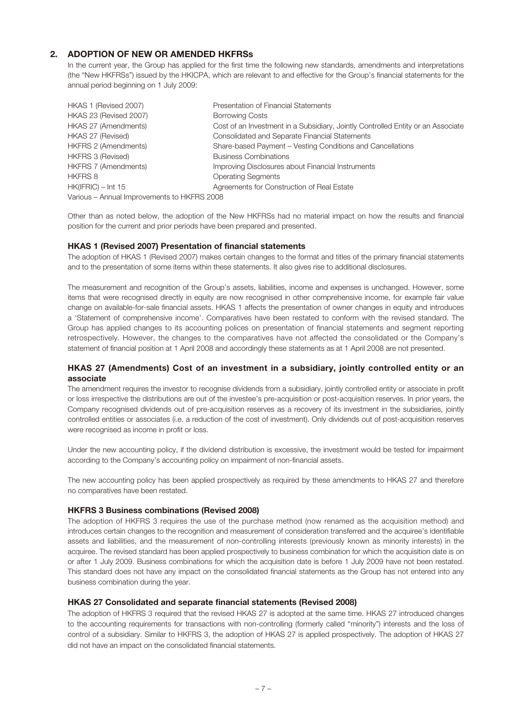# 2. ADOPTION OF NEW OR AMENDED HKFRSs

In the current year, the Group has applied for the first time the following new standards, amendments and interpretations (the "New HKFRSs") issued by the HKICPA, which are relevant to and effective for the Group's financial statements for the annual period beginning on 1 July 2009:

| HKAS 1 (Revised 2007)                       | Presentation of Financial Statements                                             |
|---------------------------------------------|----------------------------------------------------------------------------------|
| HKAS 23 (Revised 2007)                      | <b>Borrowing Costs</b>                                                           |
| HKAS 27 (Amendments)                        | Cost of an Investment in a Subsidiary, Jointly Controlled Entity or an Associate |
| HKAS 27 (Revised)                           | <b>Consolidated and Separate Financial Statements</b>                            |
| <b>HKFRS 2 (Amendments)</b>                 | Share-based Payment – Vesting Conditions and Cancellations                       |
| <b>HKFRS 3 (Revised)</b>                    | <b>Business Combinations</b>                                                     |
| <b>HKFRS 7 (Amendments)</b>                 | Improving Disclosures about Financial Instruments                                |
| <b>HKFRS 8</b>                              | <b>Operating Segments</b>                                                        |
| $HK(IFRIC) - Int 15$                        | Agreements for Construction of Real Estate                                       |
| Various - Annual Improvements to HKFRS 2008 |                                                                                  |

Other than as noted below, the adoption of the New HKFRSs had no material impact on how the results and financial position for the current and prior periods have been prepared and presented.

#### HKAS 1 (Revised 2007) Presentation of financial statements

The adoption of HKAS 1 (Revised 2007) makes certain changes to the format and titles of the primary financial statements and to the presentation of some items within these statements. It also gives rise to additional disclosures.

The measurement and recognition of the Group's assets, liabilities, income and expenses is unchanged. However, some items that were recognised directly in equity are now recognised in other comprehensive income, for example fair value change on available-for-sale financial assets. HKAS 1 affects the presentation of owner changes in equity and introduces a 'Statement of comprehensive income'. Comparatives have been restated to conform with the revised standard. The Group has applied changes to its accounting polices on presentation of financial statements and segment reporting retrospectively. However, the changes to the comparatives have not affected the consolidated or the Company's statement of financial position at 1 April 2008 and accordingly these statements as at 1 April 2008 are not presented.

#### HKAS 27 (Amendments) Cost of an investment in a subsidiary, jointly controlled entity or an associate

The amendment requires the investor to recognise dividends from a subsidiary, jointly controlled entity or associate in profit or loss irrespective the distributions are out of the investee's pre-acquisition or post-acquisition reserves. In prior years, the Company recognised dividends out of pre-acquisition reserves as a recovery of its investment in the subsidiaries, jointly controlled entities or associates (i.e. a reduction of the cost of investment). Only dividends out of post-acquisition reserves were recognised as income in profit or loss.

Under the new accounting policy, if the dividend distribution is excessive, the investment would be tested for impairment according to the Company's accounting policy on impairment of non-financial assets.

The new accounting policy has been applied prospectively as required by these amendments to HKAS 27 and therefore no comparatives have been restated.

#### HKFRS 3 Business combinations (Revised 2008)

The adoption of HKFRS 3 requires the use of the purchase method (now renamed as the acquisition method) and introduces certain changes to the recognition and measurement of consideration transferred and the acquiree's identifiable assets and liabilities, and the measurement of non-controlling interests (previously known as minority interests) in the acquiree. The revised standard has been applied prospectively to business combination for which the acquisition date is on or after 1 July 2009. Business combinations for which the acquisition date is before 1 July 2009 have not been restated. This standard does not have any impact on the consolidated financial statements as the Group has not entered into any business combination during the year.

#### HKAS 27 Consolidated and separate financial statements (Revised 2008)

The adoption of HKFRS 3 required that the revised HKAS 27 is adopted at the same time. HKAS 27 introduced changes to the accounting requirements for transactions with non-controlling (formerly called "minority") interests and the loss of control of a subsidiary. Similar to HKFRS 3, the adoption of HKAS 27 is applied prospectively. The adoption of HKAS 27 did not have an impact on the consolidated financial statements.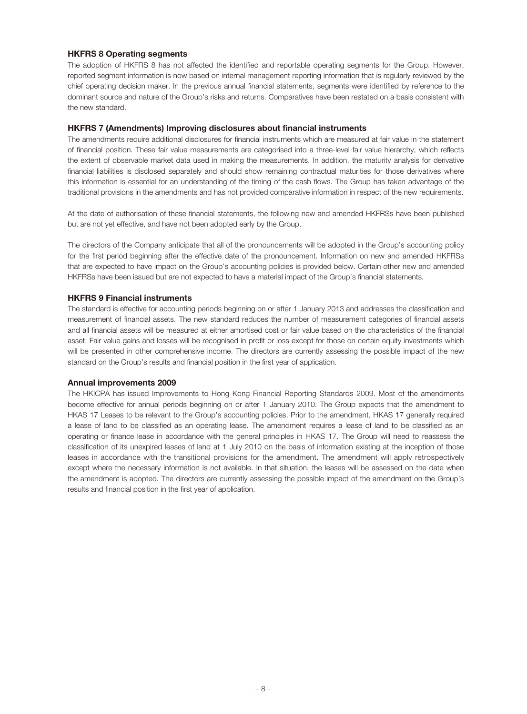#### HKFRS 8 Operating segments

The adoption of HKFRS 8 has not affected the identified and reportable operating segments for the Group. However, reported segment information is now based on internal management reporting information that is regularly reviewed by the chief operating decision maker. In the previous annual financial statements, segments were identified by reference to the dominant source and nature of the Group's risks and returns. Comparatives have been restated on a basis consistent with the new standard.

#### HKFRS 7 (Amendments) Improving disclosures about financial instruments

The amendments require additional disclosures for financial instruments which are measured at fair value in the statement of financial position. These fair value measurements are categorised into a three-level fair value hierarchy, which reflects the extent of observable market data used in making the measurements. In addition, the maturity analysis for derivative financial liabilities is disclosed separately and should show remaining contractual maturities for those derivatives where this information is essential for an understanding of the timing of the cash flows. The Group has taken advantage of the traditional provisions in the amendments and has not provided comparative information in respect of the new requirements.

At the date of authorisation of these financial statements, the following new and amended HKFRSs have been published but are not yet effective, and have not been adopted early by the Group.

The directors of the Company anticipate that all of the pronouncements will be adopted in the Group's accounting policy for the first period beginning after the effective date of the pronouncement. Information on new and amended HKFRSs that are expected to have impact on the Group's accounting policies is provided below. Certain other new and amended HKFRSs have been issued but are not expected to have a material impact of the Group's financial statements.

#### HKFRS 9 Financial instruments

The standard is effective for accounting periods beginning on or after 1 January 2013 and addresses the classification and measurement of financial assets. The new standard reduces the number of measurement categories of financial assets and all financial assets will be measured at either amortised cost or fair value based on the characteristics of the financial asset. Fair value gains and losses will be recognised in profit or loss except for those on certain equity investments which will be presented in other comprehensive income. The directors are currently assessing the possible impact of the new standard on the Group's results and financial position in the first year of application.

#### Annual improvements 2009

The HKICPA has issued Improvements to Hong Kong Financial Reporting Standards 2009. Most of the amendments become effective for annual periods beginning on or after 1 January 2010. The Group expects that the amendment to HKAS 17 Leases to be relevant to the Group's accounting policies. Prior to the amendment, HKAS 17 generally required a lease of land to be classified as an operating lease. The amendment requires a lease of land to be classified as an operating or finance lease in accordance with the general principles in HKAS 17. The Group will need to reassess the classification of its unexpired leases of land at 1 July 2010 on the basis of information existing at the inception of those leases in accordance with the transitional provisions for the amendment. The amendment will apply retrospectively except where the necessary information is not available. In that situation, the leases will be assessed on the date when the amendment is adopted. The directors are currently assessing the possible impact of the amendment on the Group's results and financial position in the first year of application.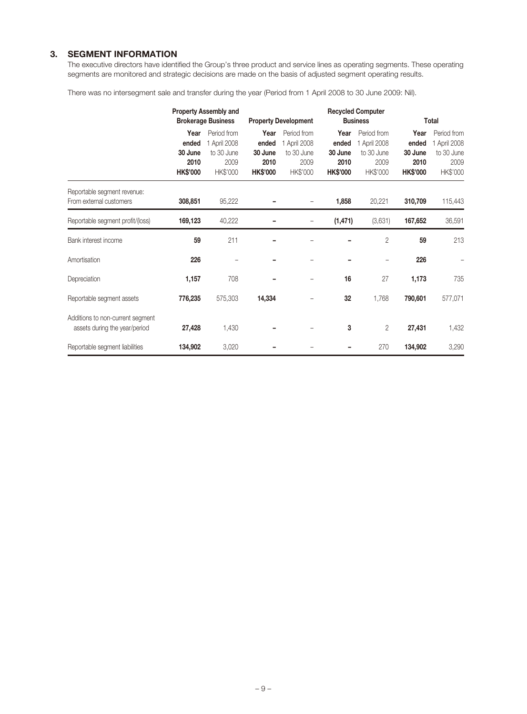# 3. SEGMENT INFORMATION

The executive directors have identified the Group's three product and service lines as operating segments. These operating segments are monitored and strategic decisions are made on the basis of adjusted segment operating results.

There was no intersegment sale and transfer during the year (Period from 1 April 2008 to 30 June 2009: Nil).

|                                                                   | <b>Property Assembly and</b><br><b>Brokerage Business</b> |                                                               | <b>Property Development</b>                         |                                                               |                                                     |                                                               | <b>Recycled Computer</b><br><b>Business</b>         |                                                               | Total |  |
|-------------------------------------------------------------------|-----------------------------------------------------------|---------------------------------------------------------------|-----------------------------------------------------|---------------------------------------------------------------|-----------------------------------------------------|---------------------------------------------------------------|-----------------------------------------------------|---------------------------------------------------------------|-------|--|
|                                                                   | Year<br>ended<br>30 June<br>2010<br><b>HK\$'000</b>       | Period from<br>1 April 2008<br>to 30 June<br>2009<br>HK\$'000 | Year<br>ended<br>30 June<br>2010<br><b>HK\$'000</b> | Period from<br>1 April 2008<br>to 30 June<br>2009<br>HK\$'000 | Year<br>ended<br>30 June<br>2010<br><b>HK\$'000</b> | Period from<br>1 April 2008<br>to 30 June<br>2009<br>HK\$'000 | Year<br>ended<br>30 June<br>2010<br><b>HK\$'000</b> | Period from<br>1 April 2008<br>to 30 June<br>2009<br>HK\$'000 |       |  |
| Reportable segment revenue:<br>From external customers            | 308,851                                                   | 95,222                                                        |                                                     |                                                               | 1,858                                               | 20,221                                                        | 310,709                                             | 115,443                                                       |       |  |
| Reportable segment profit/(loss)                                  | 169,123                                                   | 40,222                                                        |                                                     |                                                               | (1, 471)                                            | (3,631)                                                       | 167,652                                             | 36,591                                                        |       |  |
| Bank interest income                                              | 59                                                        | 211                                                           |                                                     |                                                               |                                                     | $\overline{2}$                                                | 59                                                  | 213                                                           |       |  |
| Amortisation                                                      | 226                                                       |                                                               |                                                     |                                                               |                                                     |                                                               | 226                                                 |                                                               |       |  |
| Depreciation                                                      | 1,157                                                     | 708                                                           |                                                     |                                                               | 16                                                  | 27                                                            | 1,173                                               | 735                                                           |       |  |
| Reportable segment assets                                         | 776,235                                                   | 575,303                                                       | 14,334                                              |                                                               | 32                                                  | 1,768                                                         | 790,601                                             | 577,071                                                       |       |  |
| Additions to non-current segment<br>assets during the year/period | 27,428                                                    | 1,430                                                         |                                                     |                                                               | 3                                                   | 2                                                             | 27,431                                              | 1,432                                                         |       |  |
| Reportable segment liabilities                                    | 134,902                                                   | 3,020                                                         |                                                     |                                                               |                                                     | 270                                                           | 134,902                                             | 3,290                                                         |       |  |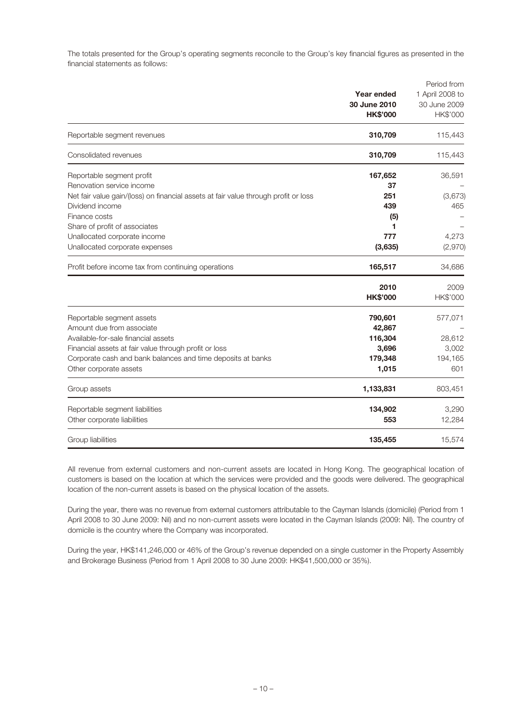The totals presented for the Group's operating segments reconcile to the Group's key financial figures as presented in the financial statements as follows:

|                                                                                     | Year ended<br>30 June 2010<br><b>HK\$'000</b> | Period from<br>1 April 2008 to<br>30 June 2009<br>HK\$'000 |
|-------------------------------------------------------------------------------------|-----------------------------------------------|------------------------------------------------------------|
| Reportable segment revenues                                                         | 310,709                                       | 115,443                                                    |
| Consolidated revenues                                                               | 310,709                                       | 115,443                                                    |
| Reportable segment profit                                                           | 167,652                                       | 36,591                                                     |
| Renovation service income                                                           | 37                                            |                                                            |
| Net fair value gain/(loss) on financial assets at fair value through profit or loss | 251                                           | (3,673)                                                    |
| Dividend income                                                                     | 439                                           | 465                                                        |
| Finance costs                                                                       | (5)                                           |                                                            |
| Share of profit of associates                                                       | 1                                             |                                                            |
| Unallocated corporate income                                                        | 777                                           | 4,273                                                      |
| Unallocated corporate expenses                                                      | (3,635)                                       | (2,970)                                                    |
| Profit before income tax from continuing operations                                 | 165,517                                       | 34,686                                                     |
|                                                                                     | 2010                                          | 2009                                                       |
|                                                                                     | <b>HK\$'000</b>                               | HK\$'000                                                   |
| Reportable segment assets                                                           | 790,601                                       | 577,071                                                    |
| Amount due from associate                                                           | 42,867                                        |                                                            |
| Available-for-sale financial assets                                                 | 116,304                                       | 28,612                                                     |
| Financial assets at fair value through profit or loss                               | 3,696                                         | 3,002                                                      |
| Corporate cash and bank balances and time deposits at banks                         | 179,348                                       | 194,165                                                    |
| Other corporate assets                                                              | 1,015                                         | 601                                                        |
| Group assets                                                                        | 1,133,831                                     | 803,451                                                    |
| Reportable segment liabilities                                                      | 134,902                                       | 3,290                                                      |
| Other corporate liabilities                                                         | 553                                           | 12,284                                                     |
| Group liabilities                                                                   | 135,455                                       | 15,574                                                     |

All revenue from external customers and non-current assets are located in Hong Kong. The geographical location of customers is based on the location at which the services were provided and the goods were delivered. The geographical location of the non-current assets is based on the physical location of the assets.

During the year, there was no revenue from external customers attributable to the Cayman Islands (domicile) (Period from 1 April 2008 to 30 June 2009: Nil) and no non-current assets were located in the Cayman Islands (2009: Nil). The country of domicile is the country where the Company was incorporated.

During the year, HK\$141,246,000 or 46% of the Group's revenue depended on a single customer in the Property Assembly and Brokerage Business (Period from 1 April 2008 to 30 June 2009: HK\$41,500,000 or 35%).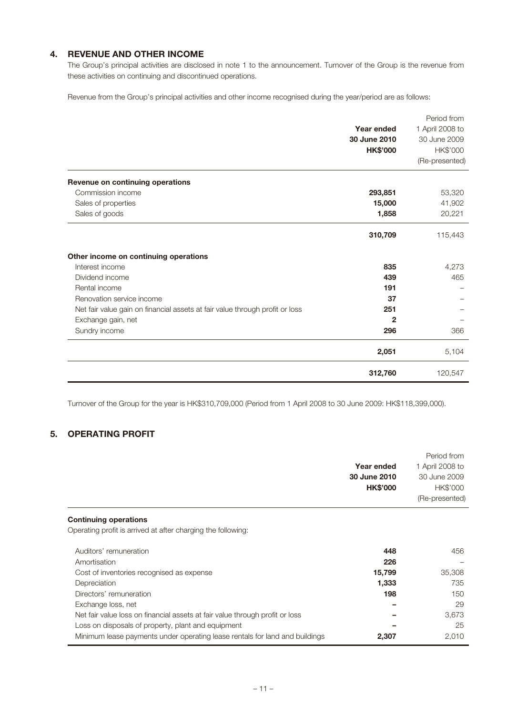# 4. REVENUE AND OTHER INCOME

The Group's principal activities are disclosed in note 1 to the announcement. Turnover of the Group is the revenue from these activities on continuing and discontinued operations.

Revenue from the Group's principal activities and other income recognised during the year/period are as follows:

|                                                                              |                 | Period from     |
|------------------------------------------------------------------------------|-----------------|-----------------|
|                                                                              | Year ended      | 1 April 2008 to |
|                                                                              | 30 June 2010    | 30 June 2009    |
|                                                                              | <b>HK\$'000</b> | HK\$'000        |
|                                                                              |                 | (Re-presented)  |
| Revenue on continuing operations                                             |                 |                 |
| Commission income                                                            | 293,851         | 53,320          |
| Sales of properties                                                          | 15,000          | 41,902          |
| Sales of goods                                                               | 1,858           | 20,221          |
|                                                                              | 310,709         | 115,443         |
| Other income on continuing operations                                        |                 |                 |
| Interest income                                                              | 835             | 4,273           |
| Dividend income                                                              | 439             | 465             |
| Rental income                                                                | 191             |                 |
| Renovation service income                                                    | 37              |                 |
| Net fair value gain on financial assets at fair value through profit or loss | 251             |                 |
| Exchange gain, net                                                           | $\mathbf{2}$    |                 |
| Sundry income                                                                | 296             | 366             |
|                                                                              | 2,051           | 5,104           |
|                                                                              | 312,760         | 120,547         |

Turnover of the Group for the year is HK\$310,709,000 (Period from 1 April 2008 to 30 June 2009: HK\$118,399,000).

# 5. OPERATING PROFIT

|                                                                              |                 | Period from     |
|------------------------------------------------------------------------------|-----------------|-----------------|
|                                                                              | Year ended      | 1 April 2008 to |
|                                                                              | 30 June 2010    | 30 June 2009    |
|                                                                              | <b>HK\$'000</b> | HK\$'000        |
|                                                                              |                 | (Re-presented)  |
| <b>Continuing operations</b>                                                 |                 |                 |
| Operating profit is arrived at after charging the following:                 |                 |                 |
| Auditors' remuneration                                                       | 448             | 456             |
| Amortisation                                                                 | 226             |                 |
| Cost of inventories recognised as expense                                    | 15,799          | 35,308          |
| Depreciation                                                                 | 1,333           | 735             |
| Directors' remuneration                                                      | 198             | 150             |
| Exchange loss, net                                                           |                 | 29              |
| Net fair value loss on financial assets at fair value through profit or loss |                 | 3,673           |
| Loss on disposals of property, plant and equipment                           |                 | 25              |
| Minimum lease payments under operating lease rentals for land and buildings  | 2,307           | 2,010           |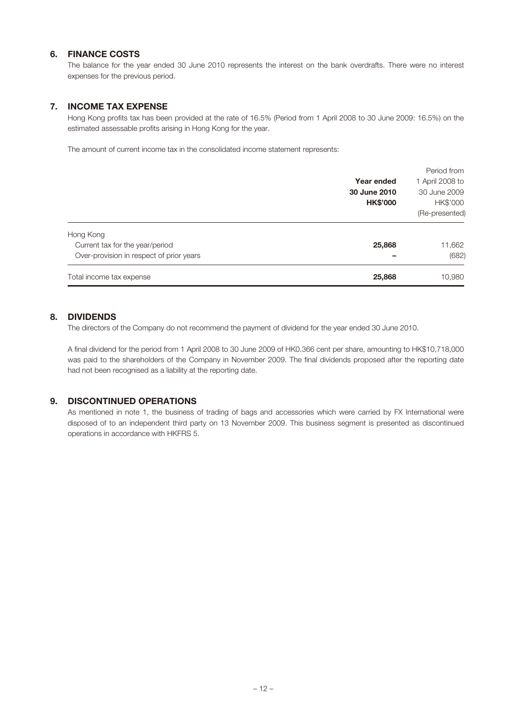### 6. FINANCE COSTS

The balance for the year ended 30 June 2010 represents the interest on the bank overdrafts. There were no interest expenses for the previous period.

# 7. INCOME TAX EXPENSE

Hong Kong profits tax has been provided at the rate of 16.5% (Period from 1 April 2008 to 30 June 2009: 16.5%) on the estimated assessable profits arising in Hong Kong for the year.

The amount of current income tax in the consolidated income statement represents:

|                                          |                 | Period from     |
|------------------------------------------|-----------------|-----------------|
|                                          | Year ended      | 1 April 2008 to |
|                                          | 30 June 2010    | 30 June 2009    |
|                                          | <b>HK\$'000</b> | HK\$'000        |
|                                          |                 | (Re-presented)  |
| Hong Kong                                |                 |                 |
| Current tax for the year/period          | 25,868          | 11,662          |
| Over-provision in respect of prior years |                 | (682)           |
| Total income tax expense                 | 25,868          | 10,980          |

### 8. DIVIDENDS

The directors of the Company do not recommend the payment of dividend for the year ended 30 June 2010.

A final dividend for the period from 1 April 2008 to 30 June 2009 of HK0.366 cent per share, amounting to HK\$10,718,000 was paid to the shareholders of the Company in November 2009. The final dividends proposed after the reporting date had not been recognised as a liability at the reporting date.

### 9. DISCONTINUED OPERATIONS

As mentioned in note 1, the business of trading of bags and accessories which were carried by FX International were disposed of to an independent third party on 13 November 2009. This business segment is presented as discontinued operations in accordance with HKFRS 5.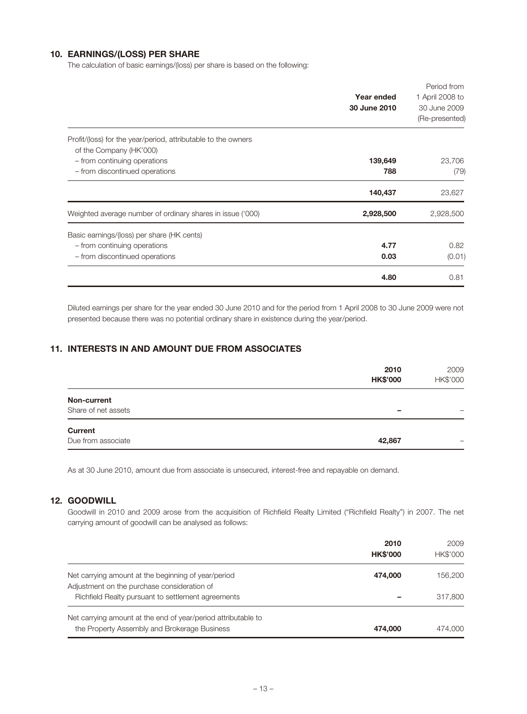# 10. EARNINGS/(LOSS) PER SHARE

The calculation of basic earnings/(loss) per share is based on the following:

|                                                                                          | Year ended<br>30 June 2010 | Period from<br>1 April 2008 to<br>30 June 2009 |
|------------------------------------------------------------------------------------------|----------------------------|------------------------------------------------|
|                                                                                          |                            | (Re-presented)                                 |
| Profit/(loss) for the year/period, attributable to the owners<br>of the Company (HK'000) |                            |                                                |
| - from continuing operations                                                             | 139,649                    | 23,706                                         |
| - from discontinued operations                                                           | 788                        | (79)                                           |
|                                                                                          | 140,437                    | 23,627                                         |
| Weighted average number of ordinary shares in issue ('000)                               | 2,928,500                  | 2,928,500                                      |
| Basic earnings/(loss) per share (HK cents)                                               |                            |                                                |
| - from continuing operations                                                             | 4.77                       | 0.82                                           |
| - from discontinued operations                                                           | 0.03                       | (0.01)                                         |
|                                                                                          | 4.80                       | 0.81                                           |

Diluted earnings per share for the year ended 30 June 2010 and for the period from 1 April 2008 to 30 June 2009 were not presented because there was no potential ordinary share in existence during the year/period.

# 11. INTERESTS IN AND AMOUNT DUE FROM ASSOCIATES

|                     | 2010<br><b>HK\$'000</b> | 2009<br>HK\$'000 |
|---------------------|-------------------------|------------------|
| Non-current         |                         |                  |
| Share of net assets | -                       |                  |
| <b>Current</b>      |                         |                  |
| Due from associate  | 42,867                  | -                |

As at 30 June 2010, amount due from associate is unsecured, interest-free and repayable on demand.

### 12. GOODWILL

Goodwill in 2010 and 2009 arose from the acquisition of Richfield Realty Limited ("Richfield Realty") in 2007. The net carrying amount of goodwill can be analysed as follows:

|                                                                                                               | 2010<br><b>HK\$'000</b> | 2009<br>HK\$'000 |
|---------------------------------------------------------------------------------------------------------------|-------------------------|------------------|
| Net carrying amount at the beginning of year/period<br>Adjustment on the purchase consideration of            | 474,000                 | 156.200          |
| Richfield Realty pursuant to settlement agreements                                                            |                         | 317,800          |
| Net carrying amount at the end of year/period attributable to<br>the Property Assembly and Brokerage Business | 474,000                 | 474,000          |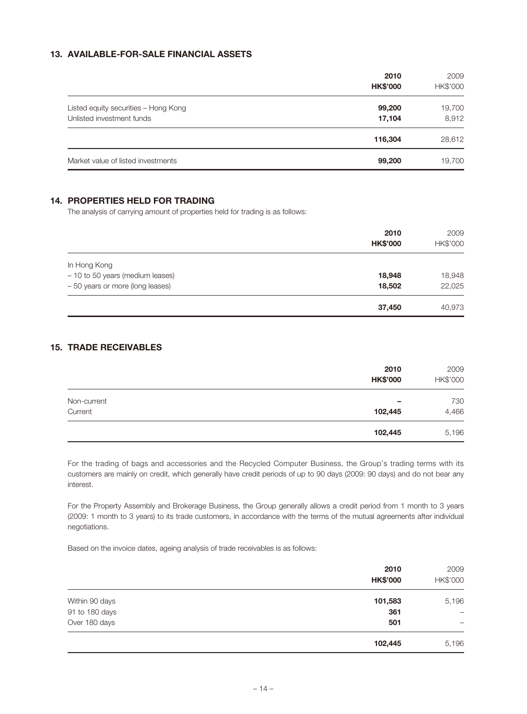# 13. AVAILABLE-FOR-SALE FINANCIAL ASSETS

|                                      | 2010<br><b>HK\$'000</b> | 2009<br>HK\$'000 |
|--------------------------------------|-------------------------|------------------|
| Listed equity securities - Hong Kong | 99,200                  | 19,700           |
| Unlisted investment funds            | 17,104                  | 8,912            |
|                                      | 116,304                 | 28,612           |
| Market value of listed investments   | 99,200                  | 19,700           |

# 14. PROPERTIES HELD FOR TRADING

The analysis of carrying amount of properties held for trading is as follows:

|                                  | 2010<br><b>HK\$'000</b> | 2009<br>HK\$'000 |
|----------------------------------|-------------------------|------------------|
| In Hong Kong                     |                         |                  |
| - 10 to 50 years (medium leases) | 18,948                  | 18,948           |
| - 50 years or more (long leases) | 18,502                  | 22,025           |
|                                  | 37,450                  | 40,973           |

# 15. TRADE RECEIVABLES

|             | 2010<br><b>HK\$'000</b> | 2009<br>HK\$'000 |
|-------------|-------------------------|------------------|
| Non-current | -                       | 730              |
| Current     | 102,445                 | 4,466            |
|             | 102,445                 | 5,196            |

For the trading of bags and accessories and the Recycled Computer Business, the Group's trading terms with its customers are mainly on credit, which generally have credit periods of up to 90 days (2009: 90 days) and do not bear any interest.

For the Property Assembly and Brokerage Business, the Group generally allows a credit period from 1 month to 3 years (2009: 1 month to 3 years) to its trade customers, in accordance with the terms of the mutual agreements after individual negotiations.

Based on the invoice dates, ageing analysis of trade receivables is as follows:

|                | 2010<br><b>HK\$'000</b> | 2009<br>HK\$'000 |
|----------------|-------------------------|------------------|
| Within 90 days | 101,583                 | 5,196            |
| 91 to 180 days | 361                     | $\qquad \qquad$  |
| Over 180 days  | 501                     | -                |
|                | 102,445                 | 5,196            |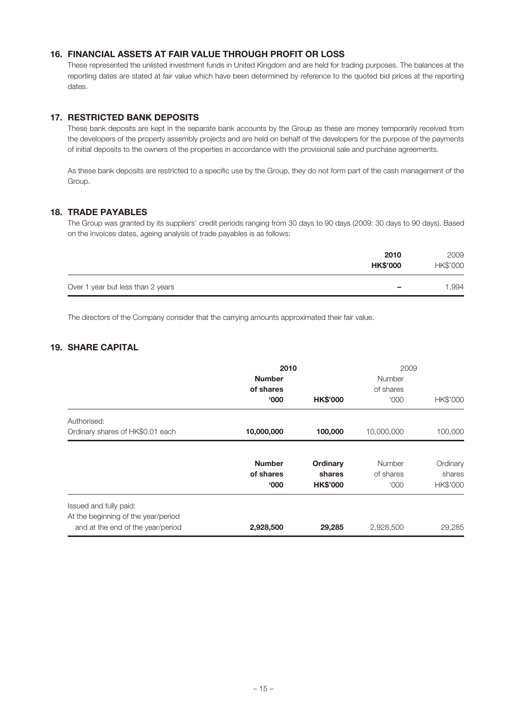# 16. FINANCIAL ASSETS AT FAIR VALUE THROUGH PROFIT OR LOSS

These represented the unlisted investment funds in United Kingdom and are held for trading purposes. The balances at the reporting dates are stated at fair value which have been determined by reference to the quoted bid prices at the reporting dates.

### 17. RESTRICTED BANK DEPOSITS

These bank deposits are kept in the separate bank accounts by the Group as these are money temporarily received from the developers of the property assembly projects and are held on behalf of the developers for the purpose of the payments of initial deposits to the owners of the properties in accordance with the provisional sale and purchase agreements.

As these bank deposits are restricted to a specific use by the Group, they do not form part of the cash management of the Group.

### 18. TRADE PAYABLES

The Group was granted by its suppliers' credit periods ranging from 30 days to 90 days (2009: 30 days to 90 days). Based on the invoices dates, ageing analysis of trade payables is as follows:

|                                   | 2010<br><b>HK\$'000</b>  | 2009<br>HK\$'000 |
|-----------------------------------|--------------------------|------------------|
| Over 1 year but less than 2 years | $\overline{\phantom{0}}$ | 1,994            |

The directors of the Company consider that the carrying amounts approximated their fair value.

# 19. SHARE CAPITAL

|                                     | 2010          |                 | 2009          |          |
|-------------------------------------|---------------|-----------------|---------------|----------|
|                                     | <b>Number</b> |                 | <b>Number</b> |          |
|                                     | of shares     |                 | of shares     |          |
|                                     | 000'          | <b>HK\$'000</b> | <b>'000</b>   | HK\$'000 |
| Authorised:                         |               |                 |               |          |
| Ordinary shares of HK\$0.01 each    | 10,000,000    | 100,000         | 10,000,000    | 100,000  |
|                                     |               |                 |               |          |
|                                     | <b>Number</b> | Ordinary        | Number        | Ordinary |
|                                     | of shares     | shares          | of shares     | shares   |
|                                     | 000'          | <b>HK\$'000</b> | <b>'000</b>   | HK\$'000 |
| Issued and fully paid:              |               |                 |               |          |
| At the beginning of the year/period |               |                 |               |          |
| and at the end of the year/period   | 2,928,500     | 29,285          | 2,928,500     | 29,285   |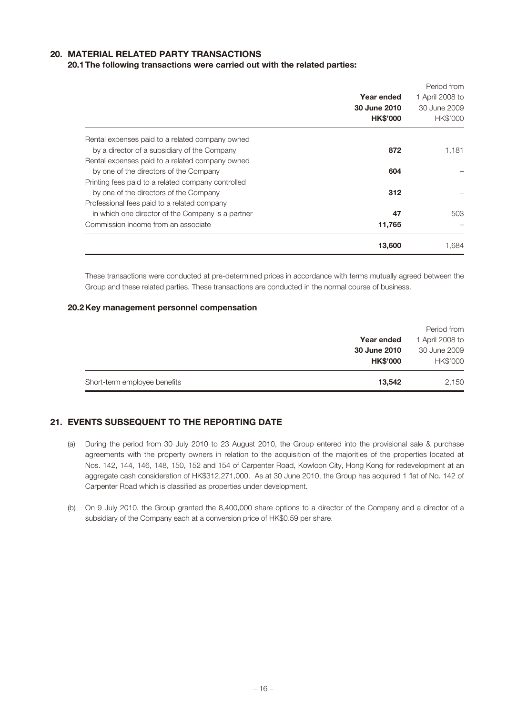### 20. MATERIAL RELATED PARTY TRANSACTIONS

#### 20.1The following transactions were carried out with the related parties:

|                                                    |                 | Period from     |
|----------------------------------------------------|-----------------|-----------------|
|                                                    | Year ended      | 1 April 2008 to |
|                                                    | 30 June 2010    | 30 June 2009    |
|                                                    | <b>HK\$'000</b> | <b>HK\$'000</b> |
| Rental expenses paid to a related company owned    |                 |                 |
| by a director of a subsidiary of the Company       | 872             | 1,181           |
| Rental expenses paid to a related company owned    |                 |                 |
| by one of the directors of the Company             | 604             |                 |
| Printing fees paid to a related company controlled |                 |                 |
| by one of the directors of the Company             | 312             |                 |
| Professional fees paid to a related company        |                 |                 |
| in which one director of the Company is a partner  | 47              | 503             |
| Commission income from an associate                | 11,765          |                 |
|                                                    | 13,600          | 1,684           |

These transactions were conducted at pre-determined prices in accordance with terms mutually agreed between the Group and these related parties. These transactions are conducted in the normal course of business.

#### 20.2Key management personnel compensation

| Short-term employee benefits | 13.542                          | 2,150                          |
|------------------------------|---------------------------------|--------------------------------|
|                              | 30 June 2010<br><b>HK\$'000</b> | 30 June 2009<br>HK\$'000       |
|                              | Year ended                      | Period from<br>1 April 2008 to |

# 21. EVENTS SUBSEQUENT TO THE REPORTING DATE

- (a) During the period from 30 July 2010 to 23 August 2010, the Group entered into the provisional sale & purchase agreements with the property owners in relation to the acquisition of the majorities of the properties located at Nos. 142, 144, 146, 148, 150, 152 and 154 of Carpenter Road, Kowloon City, Hong Kong for redevelopment at an aggregate cash consideration of HK\$312,271,000. As at 30 June 2010, the Group has acquired 1 flat of No. 142 of Carpenter Road which is classified as properties under development.
- (b) On 9 July 2010, the Group granted the 8,400,000 share options to a director of the Company and a director of a subsidiary of the Company each at a conversion price of HK\$0.59 per share.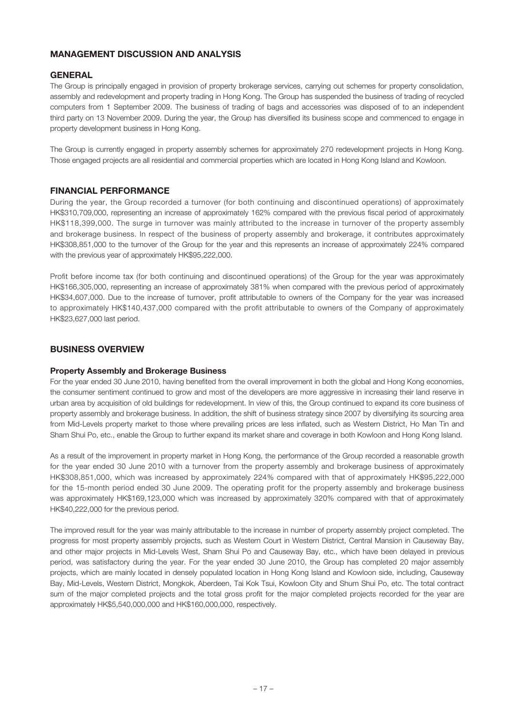# Management Discussion and Analysis

# **GENERAL**

The Group is principally engaged in provision of property brokerage services, carrying out schemes for property consolidation, assembly and redevelopment and property trading in Hong Kong. The Group has suspended the business of trading of recycled computers from 1 September 2009. The business of trading of bags and accessories was disposed of to an independent third party on 13 November 2009. During the year, the Group has diversified its business scope and commenced to engage in property development business in Hong Kong.

The Group is currently engaged in property assembly schemes for approximately 270 redevelopment projects in Hong Kong. Those engaged projects are all residential and commercial properties which are located in Hong Kong Island and Kowloon.

### FINANCIAL PERFORMANCE

During the year, the Group recorded a turnover (for both continuing and discontinued operations) of approximately HK\$310,709,000, representing an increase of approximately 162% compared with the previous fiscal period of approximately HK\$118,399,000. The surge in turnover was mainly attributed to the increase in turnover of the property assembly and brokerage business. In respect of the business of property assembly and brokerage, it contributes approximately HK\$308,851,000 to the turnover of the Group for the year and this represents an increase of approximately 224% compared with the previous year of approximately HK\$95,222,000.

Profit before income tax (for both continuing and discontinued operations) of the Group for the year was approximately HK\$166,305,000, representing an increase of approximately 381% when compared with the previous period of approximately HK\$34,607,000. Due to the increase of turnover, profit attributable to owners of the Company for the year was increased to approximately HK\$140,437,000 compared with the profit attributable to owners of the Company of approximately HK\$23,627,000 last period.

### BUSINESS OVERVIEW

#### Property Assembly and Brokerage Business

For the year ended 30 June 2010, having benefited from the overall improvement in both the global and Hong Kong economies, the consumer sentiment continued to grow and most of the developers are more aggressive in increasing their land reserve in urban area by acquisition of old buildings for redevelopment. In view of this, the Group continued to expand its core business of property assembly and brokerage business. In addition, the shift of business strategy since 2007 by diversifying its sourcing area from Mid-Levels property market to those where prevailing prices are less inflated, such as Western District, Ho Man Tin and Sham Shui Po, etc., enable the Group to further expand its market share and coverage in both Kowloon and Hong Kong Island.

As a result of the improvement in property market in Hong Kong, the performance of the Group recorded a reasonable growth for the year ended 30 June 2010 with a turnover from the property assembly and brokerage business of approximately HK\$308,851,000, which was increased by approximately 224% compared with that of approximately HK\$95,222,000 for the 15-month period ended 30 June 2009. The operating profit for the property assembly and brokerage business was approximately HK\$169,123,000 which was increased by approximately 320% compared with that of approximately HK\$40,222,000 for the previous period.

The improved result for the year was mainly attributable to the increase in number of property assembly project completed. The progress for most property assembly projects, such as Western Court in Western District, Central Mansion in Causeway Bay, and other major projects in Mid-Levels West, Sham Shui Po and Causeway Bay, etc., which have been delayed in previous period, was satisfactory during the year. For the year ended 30 June 2010, the Group has completed 20 major assembly projects, which are mainly located in densely populated location in Hong Kong Island and Kowloon side, including, Causeway Bay, Mid-Levels, Western District, Mongkok, Aberdeen, Tai Kok Tsui, Kowloon City and Shum Shui Po, etc. The total contract sum of the major completed projects and the total gross profit for the major completed projects recorded for the year are approximately HK\$5,540,000,000 and HK\$160,000,000, respectively.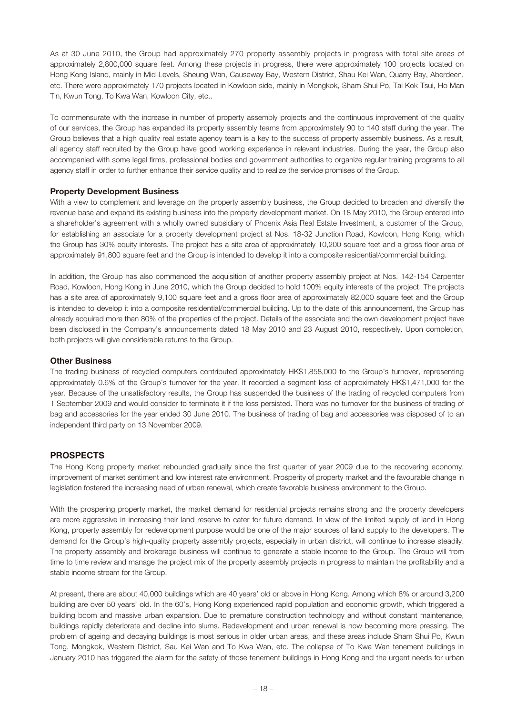As at 30 June 2010, the Group had approximately 270 property assembly projects in progress with total site areas of approximately 2,800,000 square feet. Among these projects in progress, there were approximately 100 projects located on Hong Kong Island, mainly in Mid-Levels, Sheung Wan, Causeway Bay, Western District, Shau Kei Wan, Quarry Bay, Aberdeen, etc. There were approximately 170 projects located in Kowloon side, mainly in Mongkok, Sham Shui Po, Tai Kok Tsui, Ho Man Tin, Kwun Tong, To Kwa Wan, Kowloon City, etc..

To commensurate with the increase in number of property assembly projects and the continuous improvement of the quality of our services, the Group has expanded its property assembly teams from approximately 90 to 140 staff during the year. The Group believes that a high quality real estate agency team is a key to the success of property assembly business. As a result, all agency staff recruited by the Group have good working experience in relevant industries. During the year, the Group also accompanied with some legal firms, professional bodies and government authorities to organize regular training programs to all agency staff in order to further enhance their service quality and to realize the service promises of the Group.

#### Property Development Business

With a view to complement and leverage on the property assembly business, the Group decided to broaden and diversify the revenue base and expand its existing business into the property development market. On 18 May 2010, the Group entered into a shareholder's agreement with a wholly owned subsidiary of Phoenix Asia Real Estate Investment, a customer of the Group, for establishing an associate for a property development project at Nos. 18-32 Junction Road, Kowloon, Hong Kong, which the Group has 30% equity interests. The project has a site area of approximately 10,200 square feet and a gross floor area of approximately 91,800 square feet and the Group is intended to develop it into a composite residential/commercial building.

In addition, the Group has also commenced the acquisition of another property assembly project at Nos. 142-154 Carpenter Road, Kowloon, Hong Kong in June 2010, which the Group decided to hold 100% equity interests of the project. The projects has a site area of approximately 9,100 square feet and a gross floor area of approximately 82,000 square feet and the Group is intended to develop it into a composite residential/commercial building. Up to the date of this announcement, the Group has already acquired more than 80% of the properties of the project. Details of the associate and the own development project have been disclosed in the Company's announcements dated 18 May 2010 and 23 August 2010, respectively. Upon completion, both projects will give considerable returns to the Group.

#### Other Business

The trading business of recycled computers contributed approximately HK\$1,858,000 to the Group's turnover, representing approximately 0.6% of the Group's turnover for the year. It recorded a segment loss of approximately HK\$1,471,000 for the year. Because of the unsatisfactory results, the Group has suspended the business of the trading of recycled computers from 1 September 2009 and would consider to terminate it if the loss persisted. There was no turnover for the business of trading of bag and accessories for the year ended 30 June 2010. The business of trading of bag and accessories was disposed of to an independent third party on 13 November 2009.

### PROSPECTS

The Hong Kong property market rebounded gradually since the first quarter of year 2009 due to the recovering economy, improvement of market sentiment and low interest rate environment. Prosperity of property market and the favourable change in legislation fostered the increasing need of urban renewal, which create favorable business environment to the Group.

With the prospering property market, the market demand for residential projects remains strong and the property developers are more aggressive in increasing their land reserve to cater for future demand. In view of the limited supply of land in Hong Kong, property assembly for redevelopment purpose would be one of the major sources of land supply to the developers. The demand for the Group's high-quality property assembly projects, especially in urban district, will continue to increase steadily. The property assembly and brokerage business will continue to generate a stable income to the Group. The Group will from time to time review and manage the project mix of the property assembly projects in progress to maintain the profitability and a stable income stream for the Group.

At present, there are about 40,000 buildings which are 40 years' old or above in Hong Kong. Among which 8% or around 3,200 building are over 50 years' old. In the 60's, Hong Kong experienced rapid population and economic growth, which triggered a building boom and massive urban expansion. Due to premature construction technology and without constant maintenance, buildings rapidly deteriorate and decline into slums. Redevelopment and urban renewal is now becoming more pressing. The problem of ageing and decaying buildings is most serious in older urban areas, and these areas include Sham Shui Po, Kwun Tong, Mongkok, Western District, Sau Kei Wan and To Kwa Wan, etc. The collapse of To Kwa Wan tenement buildings in January 2010 has triggered the alarm for the safety of those tenement buildings in Hong Kong and the urgent needs for urban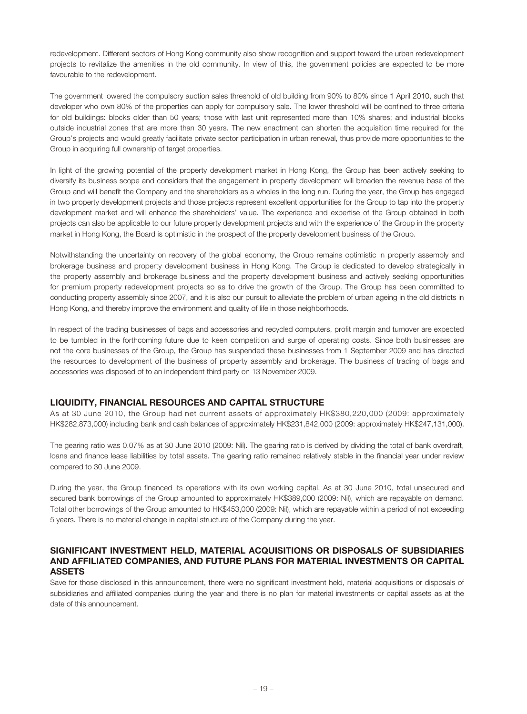redevelopment. Different sectors of Hong Kong community also show recognition and support toward the urban redevelopment projects to revitalize the amenities in the old community. In view of this, the government policies are expected to be more favourable to the redevelopment.

The government lowered the compulsory auction sales threshold of old building from 90% to 80% since 1 April 2010, such that developer who own 80% of the properties can apply for compulsory sale. The lower threshold will be confined to three criteria for old buildings: blocks older than 50 years; those with last unit represented more than 10% shares; and industrial blocks outside industrial zones that are more than 30 years. The new enactment can shorten the acquisition time required for the Group's projects and would greatly facilitate private sector participation in urban renewal, thus provide more opportunities to the Group in acquiring full ownership of target properties.

In light of the growing potential of the property development market in Hong Kong, the Group has been actively seeking to diversify its business scope and considers that the engagement in property development will broaden the revenue base of the Group and will benefit the Company and the shareholders as a wholes in the long run. During the year, the Group has engaged in two property development projects and those projects represent excellent opportunities for the Group to tap into the property development market and will enhance the shareholders' value. The experience and expertise of the Group obtained in both projects can also be applicable to our future property development projects and with the experience of the Group in the property market in Hong Kong, the Board is optimistic in the prospect of the property development business of the Group.

Notwithstanding the uncertainty on recovery of the global economy, the Group remains optimistic in property assembly and brokerage business and property development business in Hong Kong. The Group is dedicated to develop strategically in the property assembly and brokerage business and the property development business and actively seeking opportunities for premium property redevelopment projects so as to drive the growth of the Group. The Group has been committed to conducting property assembly since 2007, and it is also our pursuit to alleviate the problem of urban ageing in the old districts in Hong Kong, and thereby improve the environment and quality of life in those neighborhoods.

In respect of the trading businesses of bags and accessories and recycled computers, profit margin and turnover are expected to be tumbled in the forthcoming future due to keen competition and surge of operating costs. Since both businesses are not the core businesses of the Group, the Group has suspended these businesses from 1 September 2009 and has directed the resources to development of the business of property assembly and brokerage. The business of trading of bags and accessories was disposed of to an independent third party on 13 November 2009.

# Liquidity, financial resources and capital structure

As at 30 June 2010, the Group had net current assets of approximately HK\$380,220,000 (2009: approximately HK\$282,873,000) including bank and cash balances of approximately HK\$231,842,000 (2009: approximately HK\$247,131,000).

The gearing ratio was 0.07% as at 30 June 2010 (2009: Nil). The gearing ratio is derived by dividing the total of bank overdraft, loans and finance lease liabilities by total assets. The gearing ratio remained relatively stable in the financial year under review compared to 30 June 2009.

During the year, the Group financed its operations with its own working capital. As at 30 June 2010, total unsecured and secured bank borrowings of the Group amounted to approximately HK\$389,000 (2009: Nil), which are repayable on demand. Total other borrowings of the Group amounted to HK\$453,000 (2009: Nil), which are repayable within a period of not exceeding 5 years. There is no material change in capital structure of the Company during the year.

### SIGNIFICANT INVESTMENT HELD, MATERIAL ACQUISITIONS OR DISPOSALS OF SUBSIDIARIES AND AFFILIATED COMPANIES, AND FUTURE PLANS FOR MATERIAL INVESTMENTS OR CAPITAL ASSETS

Save for those disclosed in this announcement, there were no significant investment held, material acquisitions or disposals of subsidiaries and affiliated companies during the year and there is no plan for material investments or capital assets as at the date of this announcement.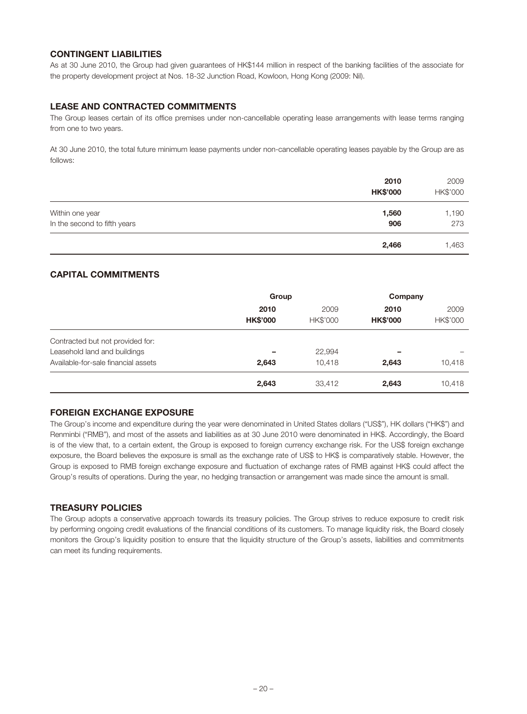# **CONTINGENT LIABILITIES**

As at 30 June 2010, the Group had given guarantees of HK\$144 million in respect of the banking facilities of the associate for the property development project at Nos. 18-32 Junction Road, Kowloon, Hong Kong (2009: Nil).

# Lease and contracted commitments

The Group leases certain of its office premises under non-cancellable operating lease arrangements with lease terms ranging from one to two years.

At 30 June 2010, the total future minimum lease payments under non-cancellable operating leases payable by the Group are as follows:

|                              | 2010<br><b>HK\$'000</b> | 2009<br>HK\$'000 |
|------------------------------|-------------------------|------------------|
| Within one year              | 1,560                   | 1,190            |
| In the second to fifth years | 906                     | 273              |
|                              | 2,466                   | 1,463            |

# CAPITAL COMMITMENTS

|                                                                  | Group                   |                         | Company                 |                  |
|------------------------------------------------------------------|-------------------------|-------------------------|-------------------------|------------------|
|                                                                  | 2010<br><b>HK\$'000</b> | 2009<br><b>HK\$'000</b> | 2010<br><b>HK\$'000</b> | 2009<br>HK\$'000 |
| Contracted but not provided for:<br>Leasehold land and buildings |                         | 22,994                  | -                       |                  |
| Available-for-sale financial assets                              | 2,643                   | 10.418                  | 2,643                   | 10,418           |
|                                                                  | 2,643                   | 33,412                  | 2,643                   | 10,418           |

### FOREIGN EXCHANGE EXPOSURE

The Group's income and expenditure during the year were denominated in United States dollars ("US\$"), HK dollars ("HK\$") and Renminbi ("RMB"), and most of the assets and liabilities as at 30 June 2010 were denominated in HK\$. Accordingly, the Board is of the view that, to a certain extent, the Group is exposed to foreign currency exchange risk. For the US\$ foreign exchange exposure, the Board believes the exposure is small as the exchange rate of US\$ to HK\$ is comparatively stable. However, the Group is exposed to RMB foreign exchange exposure and fluctuation of exchange rates of RMB against HK\$ could affect the Group's results of operations. During the year, no hedging transaction or arrangement was made since the amount is small.

# Treasury policies

The Group adopts a conservative approach towards its treasury policies. The Group strives to reduce exposure to credit risk by performing ongoing credit evaluations of the financial conditions of its customers. To manage liquidity risk, the Board closely monitors the Group's liquidity position to ensure that the liquidity structure of the Group's assets, liabilities and commitments can meet its funding requirements.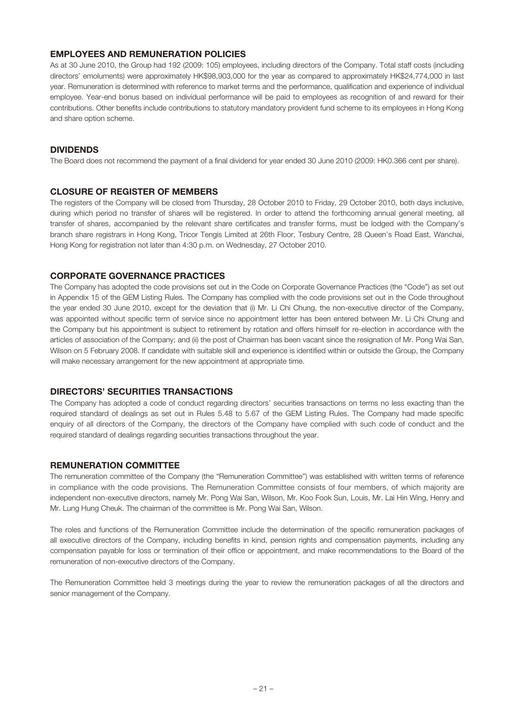# Employees and remuneration policies

As at 30 June 2010, the Group had 192 (2009: 105) employees, including directors of the Company. Total staff costs (including directors' emoluments) were approximately HK\$98,903,000 for the year as compared to approximately HK\$24,774,000 in last year. Remuneration is determined with reference to market terms and the performance, qualification and experience of individual employee. Year-end bonus based on individual performance will be paid to employees as recognition of and reward for their contributions. Other benefits include contributions to statutory mandatory provident fund scheme to its employees in Hong Kong and share option scheme.

### DIVIDENDS

The Board does not recommend the payment of a final dividend for year ended 30 June 2010 (2009: HK0.366 cent per share).

#### CLOSURE OF REGISTER OF MEMBERS

The registers of the Company will be closed from Thursday, 28 October 2010 to Friday, 29 October 2010, both days inclusive, during which period no transfer of shares will be registered. In order to attend the forthcoming annual general meeting, all transfer of shares, accompanied by the relevant share certificates and transfer forms, must be lodged with the Company's branch share registrars in Hong Kong, Tricor Tengis Limited at 26th Floor, Tesbury Centre, 28 Queen's Road East, Wanchai, Hong Kong for registration not later than 4:30 p.m. on Wednesday, 27 October 2010.

# CORPORATE GOVERNANCE PRACTICES

The Company has adopted the code provisions set out in the Code on Corporate Governance Practices (the "Code") as set out in Appendix 15 of the GEM Listing Rules. The Company has complied with the code provisions set out in the Code throughout the year ended 30 June 2010, except for the deviation that (i) Mr. Li Chi Chung, the non-executive director of the Company, was appointed without specific term of service since no appointment letter has been entered between Mr. Li Chi Chung and the Company but his appointment is subject to retirement by rotation and offers himself for re-election in accordance with the articles of association of the Company; and (ii) the post of Chairman has been vacant since the resignation of Mr. Pong Wai San, Wilson on 5 February 2008. If candidate with suitable skill and experience is identified within or outside the Group, the Company will make necessary arrangement for the new appointment at appropriate time.

### DIRECTORS' SECURITIES TRANSACTIONS

The Company has adopted a code of conduct regarding directors' securities transactions on terms no less exacting than the required standard of dealings as set out in Rules 5.48 to 5.67 of the GEM Listing Rules. The Company had made specific enquiry of all directors of the Company, the directors of the Company have complied with such code of conduct and the required standard of dealings regarding securities transactions throughout the year.

#### Remuneration Committee

The remuneration committee of the Company (the "Remuneration Committee") was established with written terms of reference in compliance with the code provisions. The Remuneration Committee consists of four members, of which majority are independent non-executive directors, namely Mr. Pong Wai San, Wilson, Mr. Koo Fook Sun, Louis, Mr. Lai Hin Wing, Henry and Mr. Lung Hung Cheuk. The chairman of the committee is Mr. Pong Wai San, Wilson.

The roles and functions of the Remuneration Committee include the determination of the specific remuneration packages of all executive directors of the Company, including benefits in kind, pension rights and compensation payments, including any compensation payable for loss or termination of their office or appointment, and make recommendations to the Board of the remuneration of non-executive directors of the Company.

The Remuneration Committee held 3 meetings during the year to review the remuneration packages of all the directors and senior management of the Company.